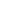The Metal residuals of content of the content of the content of the content of the content of the content of the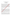#### **Male Teachers' Well-Being in the Context of Professional Identity**

## **Ilze MIKELSONE<sup>1</sup>, Indra ODINA<sup>2</sup>**

*<sup>1</sup>Liepaja University, Faculty of Education and Social Work E-mail: ilze.mikelsone@liepu.lv <sup>2</sup>University of Latvia, Faculty of Education, Psychology and Art E-mail: indra.odina@lu.lv*

## **Abstract**

The outgoing point of the study is the findings of previously carried out research on future teachers' reflection to understand their professional identity. One of master students evaluating his professional identity described uneasiness in finding **ventity** in feminine teachers' community and mentioned it as one of the causes the men were looking for another professional affiliation. The phenomenological research was carried out to explore the male teachers' well-being in the context of teacher's professional identity. The data were collected by in-depth interviews and narratives. Stratified random sampling homogenous group: males and teachers – had been used. The probability sample according to converse included eight male teachers. All of them had obtained a master's degree in education and teacher's qualification,  $\mathbb{Q}$  all were teaching at school, two of them were studying in doctoral programmes of pedagogy. The data of 38 pages  $\bigotimes$  arrative essays and 55 pages of in-depth interview transcripts had been categorized according to 6 positive psychological well-being factors: selfacceptance, positive relations, environmental mastery, personal growth, autonomy, purpose in life (Ryff and Keyes, 1995). It had been concluded that male teachers' positive psychological well-being correlated with positive attitude towards themselves and their past, the sense that life was purposeful and meaningful and the sense of personal growth and self-realization, but they struggled with organizing their everyday life. The data revealed a weak ability to follow their involved and form quality relationships with others. The following characteristic features of male teachers-respondents' well-being were outlined: directness, subjective challenges, discipline and order, authority, sense of belonging and sensitiveness **towards** the expectations of the society. The research helped to get a deeper understanding of the concept of well-being, collect unique data that would possibly encourage other individuals to realize their well-being potential, as well as future studies in this field.

**Key words**: male teachers' well-being, professional identity.

#### **1.Introduction**

Identity is personal and it answers the queston, what am I?" It is the story of the relationships between the individual and the other person, in particular – the relationships between the individual and other people. Since identity is changing according to the situation, it refers to human vision and a point of view on it, it depends on the spectacles people look through at a changing world and themselves in it. Thus, identity can unite and separate. Being aware and looking at oneself from the point of view of the professional and personal growth, it is possible to speak of professional identity and its development, which, in its turn, provides an answer to the question "how have I become what I am" (Mikelsone, Odina 2014). The research on teacher's professional identity proves its close connection with the career development in the wider sense (Mikelsone, Odina 2014) and *well-being*. The correlation of professional identity and well-being is best reflected in the way people react to changes in their these strategies are used to overcome crises and conflicts. Besides these strategies are not specially acquired, they develop and change with the accumulated experience and become evident as a human's unconscious response to the requirements of reality. Beijaard, Meijer and Verloop (2004: 126) argue "that more attention should be paid to the role of context in professional identity formation and to what counts as professional in teachers' professional identity".

In the findings of previously carried out research on future teachers' reflection to understand their professional identity, one of master students evaluating his professional identity confessed *<sub>n</sub>... I still cannot find my identity in this feminine teachers' community"* (Mikelsone, Odina 2016: 242). He also revealed his feelings entering the women community: "*I do not say that men's identity is so different, but there is some very important shift in the following aspects (justice, public attitude towards the profession, sense, initiative, responsibility, competitive salary, idealism, independence, courage, place for excellence, risk). By not finding these "own signs", without*  being able to navigate the feminine emotionality, intuition, non-verbal relationships and other "esoteric signs", *men fail to belong to this feminine group. Not spending time on talks and thinking, they're looking for another*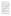*professional identity"* (Mikelsone, Odina 2016: 242). Surprisingly that the uneasiness in feminine teachers' community, is also present in female teacher's reflection: *"I've learned that direct language is not really appreciated at school. I think this is due to the fact that the team of teachers is large and mostly consists of the representatives of the fair sex, who likes to "talk through the flowers". I must confess … now I choose to keep quiet and not say what I think"* (Gerķe 2016: 121).

The male identity issues have been discussed by Krupnick (1985) as how the gender of the teacher affects the students'participation in classroom discussions, Tucker (2015: 3) outlining the complexity of identity and suggesting that "preservice male teachers' identities are more complex than gender alone, that being in multiple minority groups may compound challenges for preservice male teachers, and that teacher training alone may not sufficiently address issues of identity". Based on the anthropiccultural paradigm, Iovine  $\mathbb{QN}$ : 1967) looks at the aspects of the ideological construction of gender identity and tries to explain the situation why "male students seem to be the minority in education-related professions".

Rath, Harter and Harter (2010) outline five elements of well-being: career well-being; social well-being; financial well-being, physical well-being and community well-being. Social well-being polydes a good and loving relationships, financial – the effective management of financial resources, physical – good health and enough energy, community – compatibility with others and the environment,  $\sqrt{d}$  = meaningful daily occupation (Rath, Harter, Harter, 2010). "If we are struggling in any one of these domains, as most of us are, it damages our well-being and wears on our daily life" (Rath, Harter, Harter 2012: 6). Lack of well-being in any of aspects is also reflected in the human's professional identity. In the case of professional instability, people feel insure and are unable to complete also everyday duties that are not related to work (Svence, 2009). The work that man does reluctantly and under pressure can lead to the studion that man is neither able to perform at work nor manage other daily duties.

When defining the concept of *well-being* Holmes (2005) when a person has a sense of wellbeing, it means the person has a sense of control over work, life and even destiny; he/she does not feel stress and is not bored or under pressure. Thus, in order to define the scope of well-being both in the classroom and the wider context, Holmes (2005) offers four sub-categories: (1) physical well-being; (2) emotional well-being; (3) mental and intellectual well-being; (4) spiritual well-being. Furthermore, she explains that "while the intrinsic elements of well-being can be extracted from the concept, it is important to take a holistic approach to it" (Holmes 2005:

## 7).

Well-being can be described as positive emotions enhancing psychological feeling well in all human life. Wellbeing develops individually and depends on the attitude individuals evaluate their lives. It involves two theoretical concepts: hedonic well-being and eudaimonic well-being.

1. Hedonic well-being reveals the well-being of individual's **life** (Kahneman, Diener, Schwarz, 2003) and it is connected with enjoyment. According to hedonic well-being, the main pre-condition of good life is that people must like themselves. Hedonic aspect includes pleasant experience of emotions, low rating of the satisfaction. In other words, people are happy with their lives, positive sentiment dominates and they have got a tendency to avoid negative emotions. Hedonic wellbeing is also known as **subjective well-being** (Svence, 2009; Kahneman, Diener, Schwarz, 2003). The structure of subjective or life well-being consists of four groups of concepts that reflect the overall assessment of

person's life and well-being.

**Table 1.** The structure of subjective (life) well-being (based on Diener, Scollon, & Lucas, 2003)

| Subjective well-being                 |                                                      |                                                             |                                                   |  |  |  |  |  |
|---------------------------------------|------------------------------------------------------|-------------------------------------------------------------|---------------------------------------------------|--|--|--|--|--|
| Positive emotions                     | Negative emotions                                    | Satisfaction with life                                      | Domain satisfaction                               |  |  |  |  |  |
| Glad<br>Strong<br>Proud<br>Determined | • Worried<br>$\bullet$ Sad<br>• Guilty<br>• Insecure | Satisfaction<br><b>Fulfillment</b><br>Sense<br>Achievements | Family<br>Career<br>Health<br>Financial situation |  |  |  |  |  |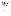| Interested. | Angry<br>etc. | $\Delta$ <sup>t<math>\alpha</math></sup><br>UU. | Aims.<br>etc.<br>the contract of the contract of the contract of |  | wing conditions.<br>ᆈ | etc. |
|-------------|---------------|-------------------------------------------------|------------------------------------------------------------------|--|-----------------------|------|
|-------------|---------------|-------------------------------------------------|------------------------------------------------------------------|--|-----------------------|------|

- 2. Eudaimonic well-being reveals **personal** well-being (Ryff, 1995) and it is linked to happiness. According to eudaimonic well-being people have high satisfaction with their autonomy, self-efficacy, high level of mastery and high degree of reaching life goals. Eudaimonic well-being is also known as **psychological well-being** (Svence, 2009; Ryff 1995) which can be described as a multidimensional model consisting of six indicators of well-being (Ryff, Keyes, 1995; Ryff 1995):
- positive evaluation of oneself and one's past (**Self-acceptance**);
- a sense of continuous growth and development as a person (**Personal growth**);
- the belief that one's life is purposeful and meaningful (**Purpose in life**);
- the ability to build quality relationships with others (**Positive relations with others**);
- $\bullet$  the ability to affect the world around a sense of mastery and expertise to build one's own environment (**Environmental mastery**);
- a sense of self-determination (**Autonomy**).

Therefore, it is essential for male teachers' well-being to find the meaning and fulfillment in everything they do. It becomes necessary for men to realize their inner meaning, as well as to reach the purpose or goal of their personal growth – they can get something important done in this world and receive appreciation, gratitude from others on their performance. The sense of internal and external autonomy when a person feels  $-I$  can be myself, *I manage, I myself take decisions* and they bring results accepted by a significant part of society is important for people who have realized their goal in life.<br> **2.Research Design And Date C** is people who have realized their goal in life.

## **2.Research Design And Data Collection Methods**

The phenomenological research method has been used to carry out research, the data have been collected by indepth interviews and narratives from eight male teachers. The main focus is on deliberate experience or "lived experience" research. The phenomenological research contains four stages: bracketing, intuiting, analyzing the data and describing the data.

During **bracketing** stage, the existing phenomenon "male teachers' well-being" has been underlined. Manen (1990: 47) defines bracketing "as obliterating the assumptions that are associated with a certain experience and investigating it thoroughly so as to **obtain** a more transcendental and generalized aspect". Consequently, this stage focuses on negating all the participation and reestablishing the phenomenon based on the examination of the same phenomenon as has been narrated by various respondents who have undergone the identical phase. The authors have attempted to bracket out personal experiences that are connected to this phenomenon and have speculated and reintegrated the data as interpreted through received responses. In intuiting stage, the researchers have learnt about the phenomenon as described by the participants. During this stage the target sample has been identified and the data have been collected. Stratified random sampling (homogenous group: males and teachers) has been used. The probability sample according to convenience (whoever happens to be available/ the easiest to reach) includes eight male teachers. All of them have obtained a master's degree in education and teacher's qualification, they all are teaching at school, two of them are studying in doctoral programme of pedagogy.

The qualifications obtained are: history and social science teacher, biology teacher, math teacher, physics teacher, 2 religion and ethics teachers, informatics and programming teacher and English and history teacher. The qualitative data of narrative essays and in-depth interviews have enabled the authors to obtain an opinion about the phenomenon. By narratives "My story of professional identity" has been explored the respondents' point of view, feelings and perspectives. Mostly the narratives have been told chronologically, written with sensory details and vivid descriptions. Considering the fact that every individual's personal experience is corelated to the context in which one interacts, in-depth interviews have been carried out in order to get detailed and reasoned respondents' opinion on specific issues, to review the personal interpretation of an existing phenomenon. The interviews have been semi-structured, the participants have been asked to answer the below listed questions with possible additional questions, if necessary. The data have been collected in the respondents' mother tongue: Latvian, English or Russian.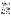1. Please tell me how you hava become what you are (a teacher).

2. What are your moments of happiness and satisfaction in teaching profession?

3. Can you recall any moments or situations of regret in teaching profession? What is the context in which they appear?

4. Is there a moment in your professional career which you could define as a moment of changes/ transformation? When and what changes took place? What caused them?

5. What have been the challenges in your professional activities, career? What traces have they left in you, have they changed you in any way?

6. Would you say you have the professional experience that is successful and the experience that is not successful? Tell me about them.

7. What moments in your professional experience and action, would you specify as the moments of wisdom? And why?

8. Do you think male teachers have any advantages at school? Have you experienced them in any way ourself? Concerning the third stage – **analyzing** Langdridge (2007: 21) recognizes it as "an important step in giving certain characteristic meaning to the experience in order to deduce few conclusions". During the analyzing stage the data have been categorized according to 6 positive psychological well-being factors: self-acceptence, positive relations, environmental mastery, personal growth, autonomy, purpose in life. In total 55 pages of interview transcripts and

38 pages of narratives have been approached "with an open mind, seeking what meaning and structures emerge" (Rossman and Rallis 1998:184). All eight respondents have been assigned the code from R 1 to R 8 to refer to them in the findings.

During the analysis several things have been taken into account:

1. Horizontalization – the equality of each response and every data  $\alpha$ ssential for the conceptualization of the underlying phenomenon. During a specific period of time, immediate experience holds true and should not be biased. As Spinelli (2005: 21) has clearly stated "no hierarchical assumptions should be contrived and the researcher must acknowledge each participant equally".

2. Delineating to review the collected data thoroughly the data have been first transcribed meticulously and explored comprehensively.

3. Clustering of the isolated data to extract the essence of the lived experiences within the holistic context. In the beginning, each respondent is analyzed separately on the basis of textural and structural responses, then translated for the purpose of the article. However, due  $\alpha$  translation there might have been possible cases of misinterpration. **Describing** stage of the research design **has involved** the interpretation of the consolidated data. Initially, at this stage, all the structural descriptions that are associated with every individual are synthesized in order to determine the psychological meaning and furthermore to describe invariable characteristics across the description. "Each structural description is then combined and is analyzed to produce a gross structural description. In innumerable cases, it is largely feasible to arrive at the generalized structural description" (Langdridge 2007: 90).

Nevertheless, the main focus of the study has been on seeing these aspects holistically – in the centre there is a male teacher with unique experience that is based on hedonic and eudaimonic aspects, thus the lived experiences of we being are seen through the view of both hedonic and eudaimonic theories. Therefore, wellbeing is examined to reveal a deeper understanding of this concept, collect unique data, and the result of the phenomenological research will possibly encourage other individuals to realize their well-being potential, as well as future studies in this field.

#### **3.Findings And Discussion**

As it already has been stated above, the data have been analysed based on **multidimensional model of psychological**  well-being (Ryff, 1995). Analyzing the well-being factor **"self-acceptance**" which means perceiving oneself and one's personality aspects, as well as one's good and bad virtues, in a positive way, it can be concluded that respondents show positive attitude towards themselves and their past; a sense of personal growth and the need for self-realization is evident. They are satisfied with their own character and do not want to be different. *"The characteristic feature in the situation of changes is optimism, which allowed me to become the person I am, making others feel that everything in my life is coming so easily and harmoniously, as if by itself"* (R 5). *"Everything that has happenned so far, it contributes to some internal affordability to go beyond the frames"*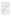## (R 2).

Positively assessed well-being factor "self-acceptance" indicates optimal maturity of personality and sense of self-acceptance. It can be said that respondents are proud of their life, and despite the various external circumstances they have been able to arrange their life so as to be satisfied with it. *"I had to work a lot and hard during my childhood, therefore I know that the success doesn't fall into your lap from the heaven – I have to work. It all constitutes my identity, attitude with which I go to work every day"* (R 5).

Whereas well-being factor **..personal growth**" is characterized by the continuous sense of development, openness to new experience, the realization of one's potential and behavioral improvement in a lifetime. This factor particularly dominates in respondents' answers and reveals their challenges, growth, ability to respond to and accept changes. *"Challenge – it is a test for yourself, either you can do it or you cannot"* (R 4). *"The challenges arise from the fact that a man is self-sufficient in some area and he wants to test himself somewhere else"* (R 4).

Respondents have got a sense for continuous development, a willingness to take more and more challenges, expanding their horizon and the need to discover their ability limits. "*To try something www, check myself ...* I *look at some people and it seems to me: well, if he can, why cannot I?"* (R 4).

The analysis of personal growth factor shows a dominant feature of all respondents – necessity/ need to test oneself in a number of areas (not only in pedagogy). They are open to new experience and need to try one's potential in the broader perspective. Challenges become important evidence of the growth and one's abilities.

*"Having decided to be a teacher or be an entrepreneur, a scientist, a national guard, you have accepted the challenge and it certainly changes your character"* (R 4).

Male teachers are willing to accept competition and test themselves in a competitive environment. It means that they do not exclude competition as mode of action, where they may develop themselves and improve their performance. *"Who wins"? I can be one of winners*, and worse.... the urge to check oneself whether you are *suitable for the labor market or not"* (R 4).

Male teachers accept situations where they can improvise, for example, to do spontaneous things during lessons. By the time and experience this improvisation gets stronger and more successful. "*I have noticed that I act outside that lesson plan and I can freely mivent task in a particular lesson" (R 2).* It can be said that personal growth is a significant factor present in the male teachers' well-being.

The factor of **"purpose in life"** confirms determination, a clear understanding of one's goal in life, a sense of direction and confidence in life. Respondents reveal their purpose of growth or goal – that they can still do something important in this world. Their position clearly reveals they do not want to be only teachers all their lives and work at school only. They have a desire to participate in some parallel activities. "*I stand by the idea that I would love to work at school*, but not the whole week, I would say for 2 days. The rest of the week I would devote to the occupation where I could *earn more,* work I could do even more [to provide for one's living]" (R 2).

*"Therefore we have a business, I am in business. I have got my own enterprise, I work. I am in science. I would not want to spend all my life in one workplace. It is a question of competitiveness. I have always asked this question to myself: what would happen if a teacher lost job now? What happens to him? Well, he is a good mathematician, physicist, historian. What will happen to him? Will he be able to survive in the labor market or not? He will not be able to survive …"* (R 4).

*"I have this feeling all the time for something new to do. I want to work in pedagogy, but I also feel that I need*  something else and more to do, something to look for, something connected with engineering [the respondent is a teacher of physics]*, it is all interesting ..."* (R 2).

The respondents possess faith, hope and confidence in life that everything will be fine. They demonstrate the sense of their life guidance. It becomes evident in question "what keeps you at school". "I am still at school and probably also *will be at school at least for a minimum load. I am held at school by two things: one is the professional activity because it is foolish to have invested so much money and time in it and to give it up. And the second that holds me*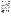*... I feel that children need me. I really feel that I am necessary ... you look at them and realize that you can offer children what they need"* (R 4).

*"I am not saying that it is good or bad, but it is clear that the teacher at all times has look to for the opportunities how not to be only a teacher, one has to look for some sort of options, professions to contribute to oneself in order to have a greater added value"* (R 2).

But at the same time, respondents also show the presence of routine what they consider as a disturbing factor. Teacher's work also brings boredom and inability to create a new behavior. *"I can withstand Mondays and Tuesdays, but on Wednesdays, Thursdays and Fridays I already feel burnout. To tell the truth, I do not want anything. For about 3 months in a row, then it is ok, then you have something new to learn, and then you get in the routine, and you start getting bored by all the work that you have done"* (R 2). The respondents see external causes and reasons in the routine and boredom, not the consequences of their actions and the lack of the  $\mathbb{R}^n$  of one's creative potential. To reduce routine respondents are more expecting assistance from outside, they do not see themselves as a routine reduction source.

Well-being factor **"positive relations**" is seen as an empathy, atracting relationship and giving support. It is an interest in and concern for the welfare of others. The analysis of this factor in respondents answers is detected as low and little expressed. Only two respondents (doctoral students) reveal a more toler**ant** vision on relations with other colleagues. They feel these relationships as self-enriching. "Others could have described me as a *contributing member of a team who will be happy to spend time with them"*  $(\mathbb{R})$ .

*"I have found that I have got a constant need to communicate with someone. After longer weekend I already lack school's continual hustle with dozens of people around, all of whom have something new to tell or ask"* (R 5).

It is admitted that due to interpersonal relationships, the respondent has learnt a new behavior that ensures the increase of his well-being. "The moment of wisdom – when you **we** learnt not to speak out what is on the tip of *the tongue ... I'm not doing it anymore because I understand that I am to some extent, directly or indirectly representing my working place"* (R 4). *representing my working place"* (R 4).

*"Often it is that I say everything is fine, but others get to suffer. This is the wisdom that has come to me ..."* (R 4). The evidence of some personal and professional maturity is also the fact that people can maintain positive relationships with others, even if opinions remain different, or they have to give up their positions. *"…you realize that other people are even true. Although they are not comfortable and pleasant"* (R 4).

However, on the whole respondents describe relationships in the workplace (at school) as competitive where each one is more concerned about own welfare, not others. "In reality, there is no cooperation, not only among *men, but simply among teachers*" (RA).

*"Cooperation, which we understand in a modern context, as some kind of think tanks, ... – there is no. There is no, absolutely not"* (R 2).

At the same time all **8 respondents** show close cooperation and positive mutual relationships with students. It is admitted that students are easier to come to an agreement with and they easier take on new challenges, new activities that are outside. the Standard and programmes. This proves male teachers' need to experience the challenge, the desire to change the posters and rules. Unable to realize these needs in cooperation with teachers they are looking for allies among suppose which are more open than colleagues. "There is no feeling that approaching them (the administration) with your problem, they will help you. Well, it is twice [at the end of April]

*I have spoken to head mistress during the year"* (R 2).

*"I have worked there for a year, but most of the teachers I do not know. Maybe I would recognize them passing by, but as to what their names are... mostly no"* (R 3).

*"And if you do not bother the administration yourself, no cooperation will happen"* (R 4).

*"Do your job, if there are any problems, you receive remark, then you make some amendments. It is all the cooperation"* (R 2).

Probably due to the lack of formal negotiation and communication among teachers, male teachers show pronounced need for a clearly defined and certain regulations, external rules. In case of no daily cooperation and communication, there is a need for clear rules of the game.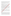Well-being factor **"autonomy**" is revealed in human judgments and independence, in the ability to resist public pressure and the ability to regulate their own behavior, as well as the ability to think and act in the selected direction. "My experience and my point of view have toughened me so far that - yes, I have got my own opinion. *I have got it, but it has not formed just because I like or dislike someone. This is my opinion ... if anyone thinks differently, please provide your arguments. But so far I have not heard any arguments against it"* (R 4).

*"Teacher's profession fully reflects me because I can express myself there, I am free..."* (R 4).

*"To tell the truth teacher is already independent in his performance, he has got ... guidelines, he observes them, but a way of performing …, it's interesting ..."* (R 4).

Male teachers show greater rigor in their conviction, individual autonomy, not expecting and without requiring support for friendly collegial relationships. For people who are aware of the meaning of life, autonomy is an important issue, in particular being aware that *I can do myself, I can manage it, I am good at it, I myself take decisions that give results*.

*"… and it is not always for better. Not always. I cannot say that everything that has happened to me, happened to better .... but the best thing about this all is that our wealth is our experience"* (R 4).

It is also recognized that directness characteristic to respondents has not always given positive results.

"*I am used to criticize tougher than maybe in the given situation it is required. Usually I immediately realize it, regret and apologize, but I have not yet developed the mechanism to hold tongue first*  $\mathbb{Q}$ .

"*Of course, maybe I am not enjoyable, I am not comfortable, and then at the end I hurt myself, as being consistent in one's conviction you do not have buddy relationships. You just what you are doing and you might have got more enemies than friends. I guess this is hard to avoid"* ( $\mathbb{R}$ ).

Well-being factor **"environmental mastery**" reveals how a man and his activities may affect the processes happening around, it is mastery and competence to effectively manage and use the environment, to control the complex flow of information. It particularly applies to those activities a person can manage and master. The

respondents demonstrate it through relationships with others and the need for clear rules of the game. "The discipline is at the highest level during my lessons. I keep my der and I have a strict order, especially in basic *school* ... then you see and feel that the students need  $\alpha$ 

Male teachers have a chance to speak from their positions. "I can easily talk about things, trying at the moment *in particular to explain the male perspective*  $\mathbb{R}$  *and it is my advantage*  $\mathbb{R}$  (R 4).

" *I feel some kind of order and rules at school, it is a real system. People in this system need to be able to read these rules, understand them"*  $(R\ 2)$ .

Respondents demonstrate low stype of belonging to a team of teachers and school. *"... finally there was an argument. They (the school) have their own policy ... Thus, it came that I had to go every week and explain why I assess students like that"* (R 3).

*"You are the small landlord of the class and that is it. And you do not feel you belong to the team, the whole school team"*  $(R \lambda)$ .  $\mathbb{R}$  recognized that there are situations which teacher is unable to change, and that causes some regret, sorrow and the sense of powerlessness. "Sad, if you have to take the role of the missing family *member for the child. Especially when a child grows up without a father and seeks to see the model of male's behavior* in *Male* teachers" (R 6).



When analyzing the data on male teachers' well-being, it can be said that it is essential for them to realize their potential and abilities, accept challenges and propose changes. Viewing this issue from the aspect of professional identity, they prefer career challenges, not routine and predictable work. As a result, the school may not become the only job to feel belonging to. The need for challenges, being in movement encourages male teachers to act more in other areas, not related to pedagogy. They prefer functioning in a number of areas that provide satisfaction for both spiritual growth and versatility and financial security. There is an urge to test oneself and provide for one's living, but it also does not mean that it would be a chaotic functioning. Respondents admit they know themselves, therefore they choose to realize themselves in the areas that they are good at and interested in. The financial aspect is not always decisive. Male teachers link it with their "personal growth" and the meaning of life. One more aspect that characterizes male teachers is directness and concreteness. *"A man is more pragmatic. Males will not cuddle children. They are not*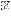*familiar with cuddling"* (R 4). However, as male respondents say being direct and straightforward, they sometimes get into trouble and that does not necessarily lead to a positive result.

*"Not knowing the situation and being direct, you can hurt another person ..."* (R 5). Concreteness is characteristic to clear school rules for them as teachers, and male teachers implement the same in their lessons: set the rules and require students to obey these rules. As acknowledged by the respondents, it creates the feeling of dignity and authority towards teachers. The importance of authority is acknowledged by respondents stating that it contributes

*"to transferring their own identity and learning about the unknown and invisible for themselves and recording new or forgotten knowledge to their experience"* (R 5).

Little expressed is male teachers' need for positive relationships with others (school colleagues). In positive peer relations, the information exchange contributes to the sense of belonging to a group, but without such relationships, there is no chance to get to know each other, no loyalty to the workplace develops. That could be the reason male teachers point to the need for clear external regulations, standards, allowing them to operate in an environment where they do not need to read the informal signals: "*speaking in a roundabout way", "through the flowers", "speaking indirectly, without calling a spade a spade"*.

However, there can be seen a contradiction – there is the need for clearly set and external rules, while same time the need for challenges and changes, as routine makes them bored. Thus, the question arise what strategies male teachers use to get out of this situation or find challenge at school. Referring to the nature of professional identity, which expects to explore and know oneself, it can be said the better the man kows himself, the easier it is to find solutions to his challenges. The more one knows oneself and listens to  $\mathbb{Q}_k$ 's inner voice, the better he is able to change his attitude to the surrounding world. This ability to accept and deal with challenges, to implement the changes, evolves and changes with the accumulated life experience. It is the unconscious "I" answer to the demands of reality.

What is more, irrelevant to the factors influencing male teachers' **Wellbeing**, to the question whether and how they have experienced the privilege of being a teacher at school all respondents clearly state they have felt this advantage. "*Yes, of course, of course. It's easy to be a man ... at school. You are treated a little bit differently ...*

*well, in any case, the attitude differs: ... "we do not touch vox the is in our "red book" (R 4).* 

"I assume that, yes ... I'm a man and I am employed and intitude without questioning. I understand that it is a kind *of advantage ..."* (R 2).

*"When I called for an interview, the first question – oh, since you are a man, then you have a preference..."* (R 3). "In education a man has got a preferente the majority of the heads of educational institutions, are still *sticking to the idea that male teacher raises the attractiveness of educational institution and indicates its*  competitiveness. I have personally expericed the advantage, male teachers are brought out and shown as an *achievement of the educational institution*" (R 7).

Thus, the well-being of male teachers in the professional identity context can be characterized by the following key words: directness, subjective challenges, discipline and order, authority, sense of belonging and sensitiveness towards the expectations of the society.

# **5.References**

- Beijaard, D., Meijer, P. C., Verloop, N. (2004). Reconsidering Research on Teachers' Professional Identity. // In: *Teaching and Teacher Education* 20, ICLON—Graduate School of Education, Leiden University, P.O. Box 9555, 2300 RB Leiden, The Netherlands, pp. 107–128.
- **D**., Scollon, C., & Lucas, R. (2003). The Evolving Concept of Subjective Well-Being: the Multifaceted Nature of Happiness. *Advances in Cell Aging and Gerontology*, Vol. 15, 187 – 219.
- Holmes, E. (2005). *Teacher Well-Being: Looking After Yourself and Your Career in the Classroom*. London: RoutledgeFalmer.
- Gerķe, S., (2016). *Studentu autonomijas attīstība Integrētajā kursā topošajiem franču valodas skolotājiem/ The Development of Students' Autonomy in the Integrated Course for Future French Teachers*. Riga LU: Maģistra darbs/ Master's Thesis.
- Iovine, F. (2015). The Male Identity in Professions in the Field of Education: a Qualitative Investigation. //In: *Procedia - Social and Behavioral Sciences* 174 (2015) 1966 – 1975. Elsevier Ltd. Available: [www.sciencedirect.com](http://www.sciencedirect.com/) doi: 10.1016/j.sbspro.2015.01.862
- Kahneman, D., Diener, E., Schwarz, N. (2003). *Well-Being: Foundations of Hedonic Psychology.* New York, Russell Sage Foundation.